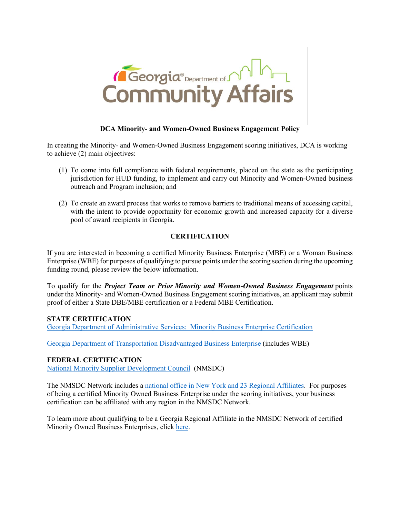

# **DCA Minority- and Women-Owned Business Engagement Policy**

In creating the Minority- and Women-Owned Business Engagement scoring initiatives, DCA is working to achieve (2) main objectives:

- (1) To come into full compliance with federal requirements, placed on the state as the participating jurisdiction for HUD funding, to implement and carry out Minority and Women-Owned business outreach and Program inclusion; and
- (2) To create an award process that works to remove barriers to traditional means of accessing capital, with the intent to provide opportunity for economic growth and increased capacity for a diverse pool of award recipients in Georgia.

## **CERTIFICATION**

If you are interested in becoming a certified Minority Business Enterprise (MBE) or a Woman Business Enterprise (WBE) for purposes of qualifying to pursue points under the scoring section during the upcoming funding round, please review the below information.

To qualify for the *Project Team or Prior Minority and Women-Owned Business Engagement* points under the Minority- and Women-Owned Business Engagement scoring initiatives, an applicant may submit proof of either a State DBE/MBE certification or a Federal MBE Certification.

#### **STATE CERTIFICATION**

[Georgia Department of Administrative Services: Minority Business Enterprise Certification](https://doas.ga.gov/state-purchasing/supplier-services/minority-business-enterprise-certification)

[Georgia Department of Transportation Disadvantaged Business Enterprise](http://www.dot.ga.gov/PS/Business/DBE) (includes WBE)

#### **FEDERAL CERTIFICATION**

[National Minority Supplier Development Council](https://nmsdc.org/) (NMSDC)

The NMSDC Network includes a [national office in New York and 23 Regional Affiliates.](https://nmsdc.org/our-network/) For purposes of being a certified Minority Owned Business Enterprise under the scoring initiatives, your business certification can be affiliated with any region in the NMSDC Network.

To learn more about qualifying to be a Georgia Regional Affiliate in the NMSDC Network of certified Minority Owned Business Enterprises, click [here.](https://gmsdc.org/get-certified/)